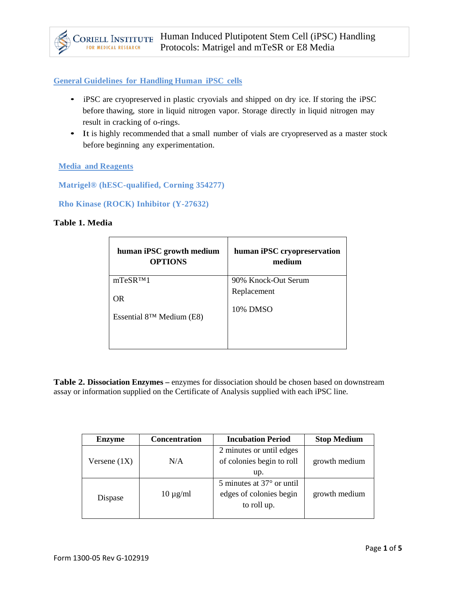## **General Guidelines for Handling Human iPSC cells**

- iPSC are cryopreserved in plastic cryovials and shipped on dry ice. If storing the iPSC before thawing, store in liquid nitrogen vapor. Storage directly in liquid nitrogen may result in cracking of o-rings.
- It is highly recommended that a small number of vials are cryopreserved as a master stock before beginning any experimentation.

#### **Media and Reagents**

**Matrigel® (hESC-qualified, Corning 354277)**

**Rho Kinase (ROCK) Inhibitor (Y-27632)**

#### **Table 1. Media**

| human iPSC growth medium       | human iPSC cryopreservation |
|--------------------------------|-----------------------------|
| <b>OPTIONS</b>                 | medium                      |
| mTeSR <sub>TM1</sub>           | 90% Knock-Out Serum         |
| <b>OR</b>                      | Replacement                 |
| Essential $8^{TM}$ Medium (E8) | 10% DMSO                    |

**Table 2. Dissociation Enzymes –** enzymes for dissociation should be chosen based on downstream assay or information supplied on the Certificate of Analysis supplied with each iPSC line.

| <b>Enzyme</b>  | <b>Concentration</b> | <b>Incubation Period</b>           | <b>Stop Medium</b> |
|----------------|----------------------|------------------------------------|--------------------|
|                |                      | 2 minutes or until edges           |                    |
| Versene $(1X)$ | N/A                  | of colonies begin to roll          | growth medium      |
|                |                      | up.                                |                    |
|                |                      | 5 minutes at $37^{\circ}$ or until |                    |
| Dispase        | $10 \mu g/ml$        | edges of colonies begin            | growth medium      |
|                |                      | to roll up.                        |                    |
|                |                      |                                    |                    |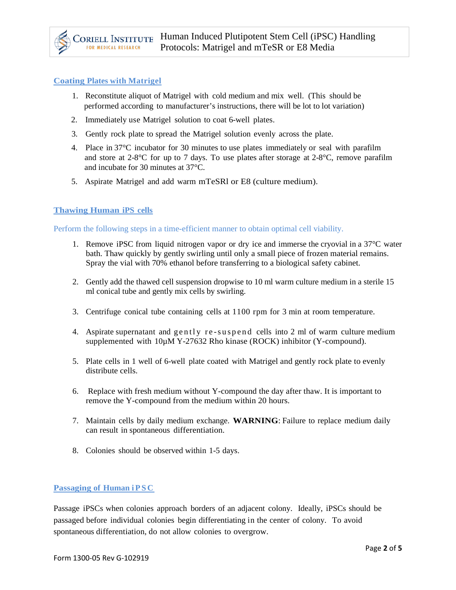### **Coating Plates with Matrigel**

- 1. Reconstitute aliquot of Matrigel with cold medium and mix well. (This should be performed according to manufacturer's instructions, there will be lot to lot variation)
- 2. Immediately use Matrigel solution to coat 6-well plates.
- 3. Gently rock plate to spread the Matrigel solution evenly across the plate.
- 4. Place in 37°C incubator for 30 minutes to use plates immediately or seal with parafilm and store at  $2-8^{\circ}$ C for up to 7 days. To use plates after storage at  $2-8^{\circ}$ C, remove parafilm and incubate for 30 minutes at 37°C.
- 5. Aspirate Matrigel and add warm mTeSRl or E8 (culture medium).

### **Thawing Human iPS cells**

Perform the following steps in a time-efficient manner to obtain optimal cell viability.

- 1. Remove iPSC from liquid nitrogen vapor or dry ice and immerse the cryovial in a 37°C water bath. Thaw quickly by gently swirling until only a small piece of frozen material remains. Spray the vial with 70% ethanol before transferring to a biological safety cabinet.
- 2. Gently add the thawed cell suspension dropwise to 10 ml warm culture medium in a sterile 15 ml conical tube and gently mix cells by swirling.
- 3. Centrifuge conical tube containing cells at 1100 rpm for 3 min at room temperature.
- 4. Aspirate supernatant and gently re -suspend cells into 2 ml of warm culture medium supplemented with  $10\mu$ M Y-27632 Rho kinase (ROCK) inhibitor (Y-compound).
- 5. Plate cells in 1 well of 6-well plate coated with Matrigel and gently rock plate to evenly distribute cells.
- 6. Replace with fresh medium without Y-compound the day after thaw. It is important to remove the Y-compound from the medium within 20 hours.
- 7. Maintain cells by daily medium exchange. **WARNING**: Failure to replace medium daily can result in spontaneous differentiation.
- 8. Colonies should be observed within 1-5 days.

#### **Passaging of Human iPSC**

Passage iPSCs when colonies approach borders of an adjacent colony. Ideally, iPSCs should be passaged before individual colonies begin differentiating in the center of colony. To avoid spontaneous differentiation, do not allow colonies to overgrow.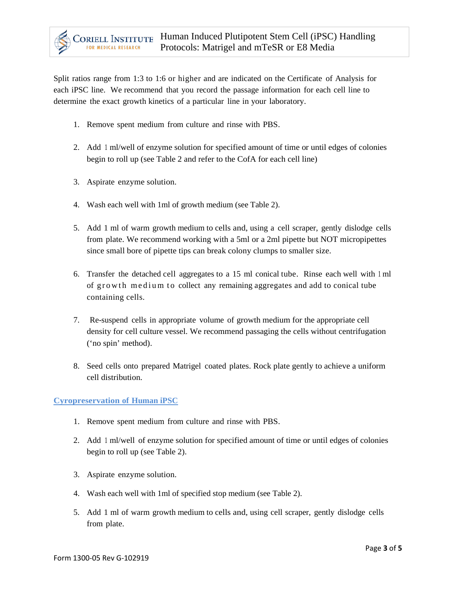Split ratios range from 1:3 to 1:6 or higher and are indicated on the Certificate of Analysis for each iPSC line. We recommend that you record the passage information for each cell line to determine the exact growth kinetics of a particular line in your laboratory.

- 1. Remove spent medium from culture and rinse with PBS.
- 2. Add <sup>1</sup> ml/well of enzyme solution for specified amount of time or until edges of colonies begin to roll up (see Table 2 and refer to the CofA for each cell line)
- 3. Aspirate enzyme solution.
- 4. Wash each well with 1ml of growth medium (see Table 2).
- 5. Add 1 ml of warm growth medium to cells and, using a cell scraper, gently dislodge cells from plate. We recommend working with a 5ml or a 2ml pipette but NOT micropipettes since small bore of pipette tips can break colony clumps to smaller size.
- 6. Transfer the detached cell aggregates to a 15 ml conical tube. Rinse each well with <sup>1</sup> ml of growth medium to collect any remaining aggregates and add to conical tube containing cells.
- 7. Re-suspend cells in appropriate volume of growth medium for the appropriate cell density for cell culture vessel. We recommend passaging the cells without centrifugation ('no spin' method).
- 8. Seed cells onto prepared Matrigel coated plates. Rock plate gently to achieve a uniform cell distribution.

# **Cyropreservation of Human iPSC**

- 1. Remove spent medium from culture and rinse with PBS.
- 2. Add <sup>1</sup> ml/well of enzyme solution for specified amount of time or until edges of colonies begin to roll up (see Table 2).
- 3. Aspirate enzyme solution.
- 4. Wash each well with 1ml of specified stop medium (see Table 2).
- 5. Add 1 ml of warm growth medium to cells and, using cell scraper, gently dislodge cells from plate.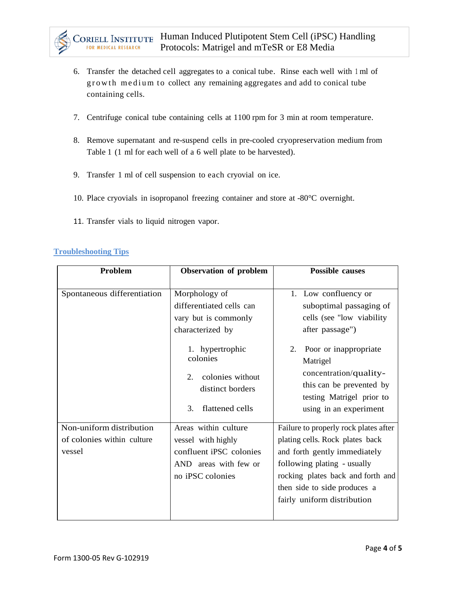

- 6. Transfer the detached cell aggregates to a conical tube. Rinse each well with <sup>1</sup> ml of growth medium to collect any remaining aggregates and add to conical tube containing cells.
- 7. Centrifuge conical tube containing cells at 1100 rpm for 3 min at room temperature.
- 8. Remove supernatant and re-suspend cells in pre-cooled cryopreservation medium from Table 1 (1 ml for each well of a 6 well plate to be harvested).
- 9. Transfer 1 ml of cell suspension to each cryovial on ice.
- 10. Place cryovials in isopropanol freezing container and store at -80°C overnight.
- 11. Transfer vials to liquid nitrogen vapor.

# **Troubleshooting Tips**

| Problem                                                          | Observation of problem                                                                                             | <b>Possible causes</b>                                                                                                                                                                                                                      |
|------------------------------------------------------------------|--------------------------------------------------------------------------------------------------------------------|---------------------------------------------------------------------------------------------------------------------------------------------------------------------------------------------------------------------------------------------|
| Spontaneous differentiation                                      | Morphology of<br>differentiated cells can<br>vary but is commonly<br>characterized by                              | 1. Low confluency or<br>suboptimal passaging of<br>cells (see "low viability")<br>after passage")                                                                                                                                           |
|                                                                  | 1. hypertrophic<br>colonies<br>colonies without<br>2.<br>distinct borders<br>flattened cells<br>3.                 | Poor or inappropriate<br>2.<br>Matrigel<br>concentration/quality-<br>this can be prevented by<br>testing Matrigel prior to<br>using in an experiment                                                                                        |
| Non-uniform distribution<br>of colonies within culture<br>vessel | Areas within culture<br>vessel with highly<br>confluent iPSC colonies<br>AND areas with few or<br>no iPSC colonies | Failure to properly rock plates after<br>plating cells. Rock plates back<br>and forth gently immediately<br>following plating - usually<br>rocking plates back and forth and<br>then side to side produces a<br>fairly uniform distribution |